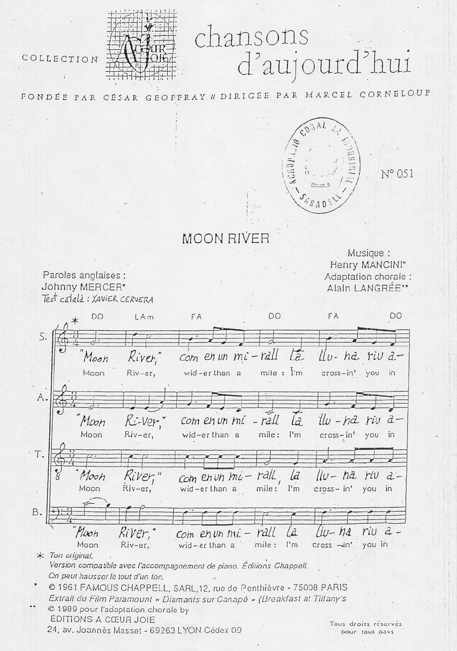## chansons<br>d'aujourd'hui

COLLECTION



FONDEE PAR CESAR GEOPFRAY II DIRIGEE PAR MARCEL CORNELOUP



N° 051

## **MOON RIVER**

Paroles anglaises : Johnny MERCER\* Text català: XAVIER CERVERA

Musique: Henry MANCINI\* Adaptation chorale : Alain LANGRÉE\*\*

|    | DO<br>$\ast$      | LAm                                 | FA                                                                        | DO            | FA                | DO                            |
|----|-------------------|-------------------------------------|---------------------------------------------------------------------------|---------------|-------------------|-------------------------------|
| S. |                   |                                     |                                                                           |               |                   |                               |
|    | Moon              | Kiver,                              | $com$ en un $mi$ -rall $La$                                               |               |                   | LLu- ha riv a-                |
|    | Moon              | Riv-er,                             | wid-erthan a                                                              | mile : l'm    | cross-in' you     | $i \cap$                      |
| Α. |                   |                                     |                                                                           |               |                   |                               |
|    | Moon              | Ri-ver                              | com en un mi - rall                                                       | lâ            |                   | $1\omega$ $ nd$ $riu$ $d$ $-$ |
|    | Moon              | Riv-er,                             | wid-erthan a                                                              | mile:<br>l'm  | $cross-int$ you   | in                            |
| Τ. |                   |                                     |                                                                           |               |                   |                               |
|    | Moon<br>Moon      | River,"                             | Com en un mi-rall                                                         | ld            |                   | $\mu - h$ a rw a-             |
|    |                   | Riv-er,                             | wid-erthan a                                                              | mile:<br>l'm  | $cross - in'$ you | in                            |
| Β. |                   |                                     |                                                                           |               |                   |                               |
|    | Plaoh             | River,                              | Com $envnhi$ -                                                            | La<br>rall    | $u - na$          | $riu$ $a$ $-$                 |
|    | Moon              | Riv-er,                             | wid-er than a                                                             | l'm<br>mile : | cross -in' you in |                               |
|    | $*$ Ton original. |                                     | Version compatible avec l'accompagnement de piano. Éditions Chappell.     |               |                   |                               |
|    |                   | On peut hausser le tout d'un ton.   |                                                                           |               |                   |                               |
|    |                   |                                     | © 1961 FAMOUS CHAPPELL, SARL, 12, rue de Penthièvre - 75008 PARIS         |               |                   |                               |
|    |                   |                                     | Extrait du Film Paramount « Diamants sur Canapé » (Breaklast at Tillany's |               |                   |                               |
|    |                   | © 1989 pour l'adaptation chorale by |                                                                           |               |                   |                               |

**ÉDITIONS A CŒUR JOIE** 24, av. Joannés Masset - 69263 LYON Cédex 09

Tous droits réservés bour tous bays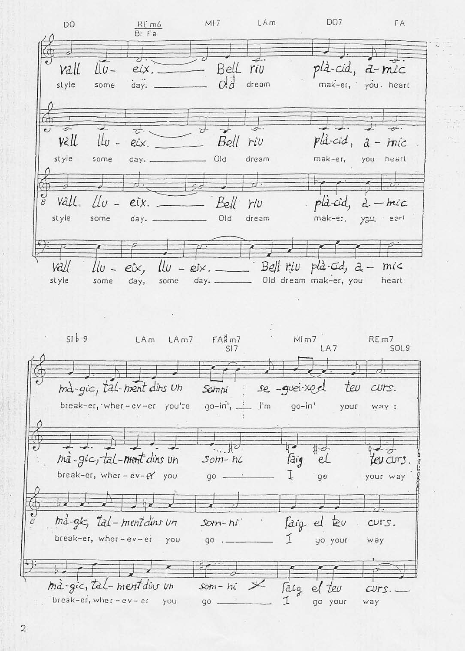**DO7**  $MI$  7 LAm ГA. DO.  $R$ [ $m$ 6  $B:Fa$ plà-cid, a-mic - Rell riv vall  $\overline{\|u$ eix  $\alpha$ dream style .<br>day. \_ mak-er, you heart some  $\frac{1}{2}$  $\overline{\mathcal{F}}$ ᅷ ...  $\overline{\bullet}$  $\pm$  $pld-cid$ , vall  $l\omega$  -Bell riv  $a - mic$ eix. Old style dream mak-er. you heart some day. \_ vall  $rho$ da-cid  $\mu_{\nu}$  $e^{ix}$ .  $Bell$ riu  $d - m/c$ style some day. \_ Old dream mak-et, you  $221$  $l/v - eix$ ,  $l/v - eix$ . Bell riv plà-cid,  $a - mic$ vall day. \_\_\_\_\_\_\_\_\_\_\_\_ Old dream mak-er, you style heart some day, some  $51b9$  $FA\nparallel m7$ MI<sub>m7</sub> LA<sub>m</sub>  $LAm7$ REm7 LA7  $SI$  7 SOL9 mà-gic, tal-ment dins un se -quei-xoel teu Somni CUTS.  $90 - i n^i$ ,  $\frac{1}{2}$  l'm break-er, wher-ev-er you're  $qo-in'$ your way:  $\frac{1}{2}$  $#$  $0 - 7$ ma-gic, tal-ment dins un faig  $S$ om- $h$  $\zeta$ el ter curs. break-er, wher-ev- $P'$  you τ your way  $90$  $q<sub>0</sub>$ mà-ak, tal-mentdins un faig el teu  $20m - hi$ curs. break-er, wher-ev-er you í go .\_ yo your way mà-gic, tal-ment divs un  $som-hi \times$ Faig el teu  $CUTS.$ break-er, wher -  $ev$  -  $et$  you I go your go . way

 $\overline{2}$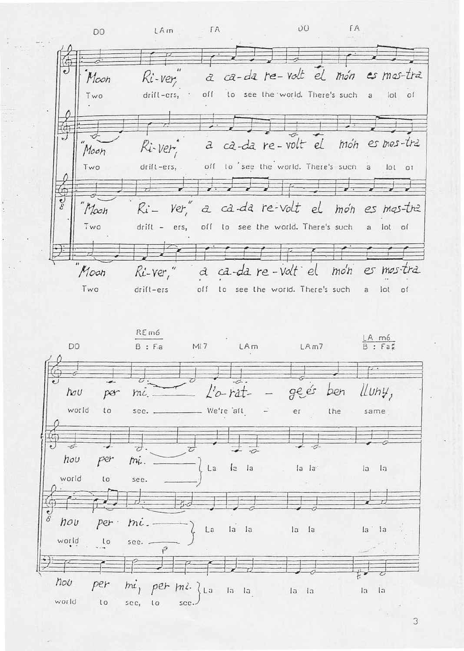$00 -$ FA  $FA$  $LAm$ DO a ca-da re-volt el món es mos-tra  $M$ <sub>oon</sub> Ki-ver off to see the world. There's such a lot of drift-ers, Two a ca-da re-volt el mon es mos-tra Ri-ver Moon off to see the world. There's such  $drill-ers,$ Two  $\overline{a}$ lot of  $Yer''$ Moon  $R$ a ca-da re-volt el mon es mos-tre Two  $drift - ers$ , off to see the world. There's such a lot of a ca-da re-volt el  $m \circ n$ es mos-tra Moon Ri-ver," Two off to see the world. There's such drift-ers a lot of

REm6  $\frac{\mathsf{LA} \cdot \mathsf{m6}}{\mathsf{B} : \mathsf{Fa}}$ DO  $B : F.a$ MI7 LAm  $LAm7$ geés Lluny,  $l'$ *o-rat*ben  $hov$ per  $mc$ .  $\overline{\phantom{a}}$ world We're aft to sec. er the same  $\overline{\mathcal{L}}$ 2  $\overrightarrow{a}$  $hov$ per mi.  $l<sub>2</sub>$  la La la la  $1a$  $1a$ world  $\mathfrak{c}$ see. hou per  $m\ddot{\iota}$ . La la la la la la la world  $\iota$  $sec. -$ Þ 72 hou per mi, per ml. La la la  $|a|$ la la  $\overline{a}$ world  $\iota$  $sec<sub>1</sub>$  $\iota$ scc.